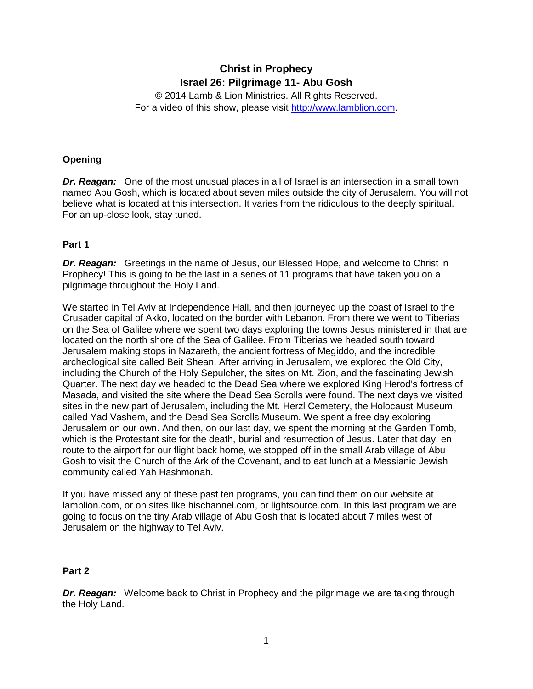# **Christ in Prophecy Israel 26: Pilgrimage 11- Abu Gosh**

© 2014 Lamb & Lion Ministries. All Rights Reserved. For a video of this show, please visit [http://www.lamblion.com.](http://www.lamblion.com/)

# **Opening**

*Dr. Reagan:* One of the most unusual places in all of Israel is an intersection in a small town named Abu Gosh, which is located about seven miles outside the city of Jerusalem. You will not believe what is located at this intersection. It varies from the ridiculous to the deeply spiritual. For an up-close look, stay tuned.

# **Part 1**

*Dr. Reagan:* Greetings in the name of Jesus, our Blessed Hope, and welcome to Christ in Prophecy! This is going to be the last in a series of 11 programs that have taken you on a pilgrimage throughout the Holy Land.

We started in Tel Aviv at Independence Hall, and then journeyed up the coast of Israel to the Crusader capital of Akko, located on the border with Lebanon. From there we went to Tiberias on the Sea of Galilee where we spent two days exploring the towns Jesus ministered in that are located on the north shore of the Sea of Galilee. From Tiberias we headed south toward Jerusalem making stops in Nazareth, the ancient fortress of Megiddo, and the incredible archeological site called Beit Shean. After arriving in Jerusalem, we explored the Old City, including the Church of the Holy Sepulcher, the sites on Mt. Zion, and the fascinating Jewish Quarter. The next day we headed to the Dead Sea where we explored King Herod's fortress of Masada, and visited the site where the Dead Sea Scrolls were found. The next days we visited sites in the new part of Jerusalem, including the Mt. Herzl Cemetery, the Holocaust Museum, called Yad Vashem, and the Dead Sea Scrolls Museum. We spent a free day exploring Jerusalem on our own. And then, on our last day, we spent the morning at the Garden Tomb, which is the Protestant site for the death, burial and resurrection of Jesus. Later that day, en route to the airport for our flight back home, we stopped off in the small Arab village of Abu Gosh to visit the Church of the Ark of the Covenant, and to eat lunch at a Messianic Jewish community called Yah Hashmonah.

If you have missed any of these past ten programs, you can find them on our website at lamblion.com, or on sites like hischannel.com, or lightsource.com. In this last program we are going to focus on the tiny Arab village of Abu Gosh that is located about 7 miles west of Jerusalem on the highway to Tel Aviv.

#### **Part 2**

**Dr. Reagan:** Welcome back to Christ in Prophecy and the pilgrimage we are taking through the Holy Land.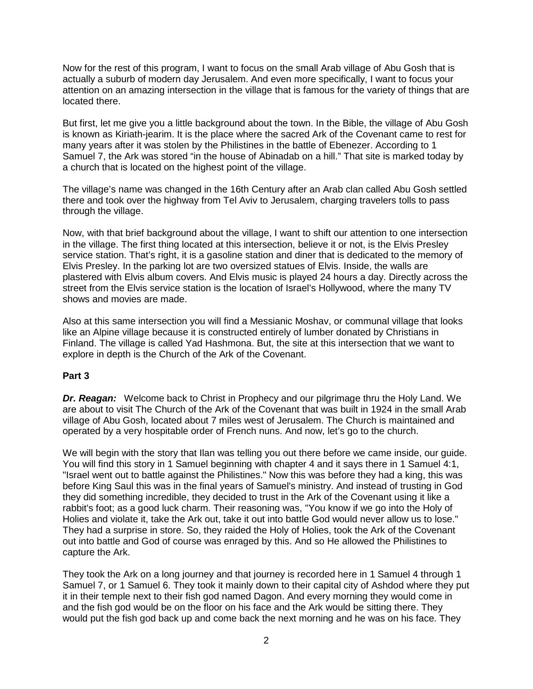Now for the rest of this program, I want to focus on the small Arab village of Abu Gosh that is actually a suburb of modern day Jerusalem. And even more specifically, I want to focus your attention on an amazing intersection in the village that is famous for the variety of things that are located there.

But first, let me give you a little background about the town. In the Bible, the village of Abu Gosh is known as Kiriath-jearim. It is the place where the sacred Ark of the Covenant came to rest for many years after it was stolen by the Philistines in the battle of Ebenezer. According to 1 Samuel 7, the Ark was stored "in the house of Abinadab on a hill." That site is marked today by a church that is located on the highest point of the village.

The village's name was changed in the 16th Century after an Arab clan called Abu Gosh settled there and took over the highway from Tel Aviv to Jerusalem, charging travelers tolls to pass through the village.

Now, with that brief background about the village, I want to shift our attention to one intersection in the village. The first thing located at this intersection, believe it or not, is the Elvis Presley service station. That's right, it is a gasoline station and diner that is dedicated to the memory of Elvis Presley. In the parking lot are two oversized statues of Elvis. Inside, the walls are plastered with Elvis album covers. And Elvis music is played 24 hours a day. Directly across the street from the Elvis service station is the location of Israel's Hollywood, where the many TV shows and movies are made.

Also at this same intersection you will find a Messianic Moshav, or communal village that looks like an Alpine village because it is constructed entirely of lumber donated by Christians in Finland. The village is called Yad Hashmona. But, the site at this intersection that we want to explore in depth is the Church of the Ark of the Covenant.

#### **Part 3**

*Dr. Reagan:* Welcome back to Christ in Prophecy and our pilgrimage thru the Holy Land. We are about to visit The Church of the Ark of the Covenant that was built in 1924 in the small Arab village of Abu Gosh, located about 7 miles west of Jerusalem. The Church is maintained and operated by a very hospitable order of French nuns. And now, let's go to the church.

We will begin with the story that Ilan was telling you out there before we came inside, our guide. You will find this story in 1 Samuel beginning with chapter 4 and it says there in 1 Samuel 4:1, "Israel went out to battle against the Philistines." Now this was before they had a king, this was before King Saul this was in the final years of Samuel's ministry. And instead of trusting in God they did something incredible, they decided to trust in the Ark of the Covenant using it like a rabbit's foot; as a good luck charm. Their reasoning was, "You know if we go into the Holy of Holies and violate it, take the Ark out, take it out into battle God would never allow us to lose." They had a surprise in store. So, they raided the Holy of Holies, took the Ark of the Covenant out into battle and God of course was enraged by this. And so He allowed the Philistines to capture the Ark.

They took the Ark on a long journey and that journey is recorded here in 1 Samuel 4 through 1 Samuel 7, or 1 Samuel 6. They took it mainly down to their capital city of Ashdod where they put it in their temple next to their fish god named Dagon. And every morning they would come in and the fish god would be on the floor on his face and the Ark would be sitting there. They would put the fish god back up and come back the next morning and he was on his face. They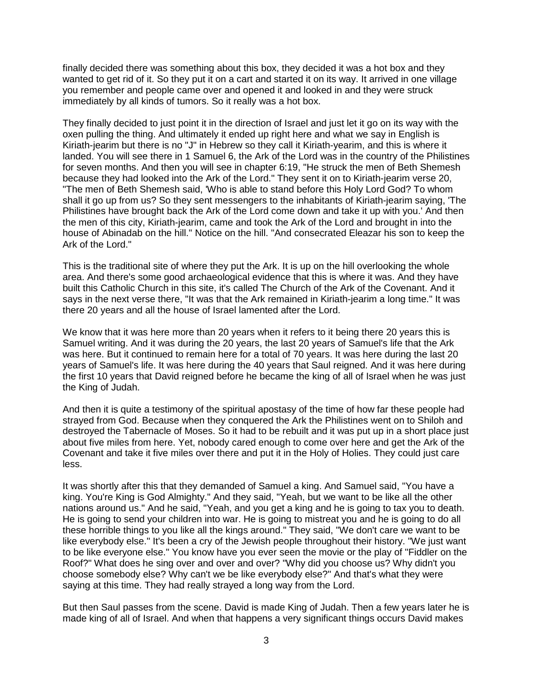finally decided there was something about this box, they decided it was a hot box and they wanted to get rid of it. So they put it on a cart and started it on its way. It arrived in one village you remember and people came over and opened it and looked in and they were struck immediately by all kinds of tumors. So it really was a hot box.

They finally decided to just point it in the direction of Israel and just let it go on its way with the oxen pulling the thing. And ultimately it ended up right here and what we say in English is Kiriath-jearim but there is no "J" in Hebrew so they call it Kiriath-yearim, and this is where it landed. You will see there in 1 Samuel 6, the Ark of the Lord was in the country of the Philistines for seven months. And then you will see in chapter 6:19, "He struck the men of Beth Shemesh because they had looked into the Ark of the Lord." They sent it on to Kiriath-jearim verse 20, "The men of Beth Shemesh said, 'Who is able to stand before this Holy Lord God? To whom shall it go up from us? So they sent messengers to the inhabitants of Kiriath-jearim saying, 'The Philistines have brought back the Ark of the Lord come down and take it up with you.' And then the men of this city, Kiriath-jearim, came and took the Ark of the Lord and brought in into the house of Abinadab on the hill." Notice on the hill. "And consecrated Eleazar his son to keep the Ark of the Lord."

This is the traditional site of where they put the Ark. It is up on the hill overlooking the whole area. And there's some good archaeological evidence that this is where it was. And they have built this Catholic Church in this site, it's called The Church of the Ark of the Covenant. And it says in the next verse there, "It was that the Ark remained in Kiriath-jearim a long time." It was there 20 years and all the house of Israel lamented after the Lord.

We know that it was here more than 20 years when it refers to it being there 20 years this is Samuel writing. And it was during the 20 years, the last 20 years of Samuel's life that the Ark was here. But it continued to remain here for a total of 70 years. It was here during the last 20 years of Samuel's life. It was here during the 40 years that Saul reigned. And it was here during the first 10 years that David reigned before he became the king of all of Israel when he was just the King of Judah.

And then it is quite a testimony of the spiritual apostasy of the time of how far these people had strayed from God. Because when they conquered the Ark the Philistines went on to Shiloh and destroyed the Tabernacle of Moses. So it had to be rebuilt and it was put up in a short place just about five miles from here. Yet, nobody cared enough to come over here and get the Ark of the Covenant and take it five miles over there and put it in the Holy of Holies. They could just care less.

It was shortly after this that they demanded of Samuel a king. And Samuel said, "You have a king. You're King is God Almighty." And they said, "Yeah, but we want to be like all the other nations around us." And he said, "Yeah, and you get a king and he is going to tax you to death. He is going to send your children into war. He is going to mistreat you and he is going to do all these horrible things to you like all the kings around." They said, "We don't care we want to be like everybody else." It's been a cry of the Jewish people throughout their history. "We just want to be like everyone else." You know have you ever seen the movie or the play of "Fiddler on the Roof?" What does he sing over and over and over? "Why did you choose us? Why didn't you choose somebody else? Why can't we be like everybody else?" And that's what they were saying at this time. They had really strayed a long way from the Lord.

But then Saul passes from the scene. David is made King of Judah. Then a few years later he is made king of all of Israel. And when that happens a very significant things occurs David makes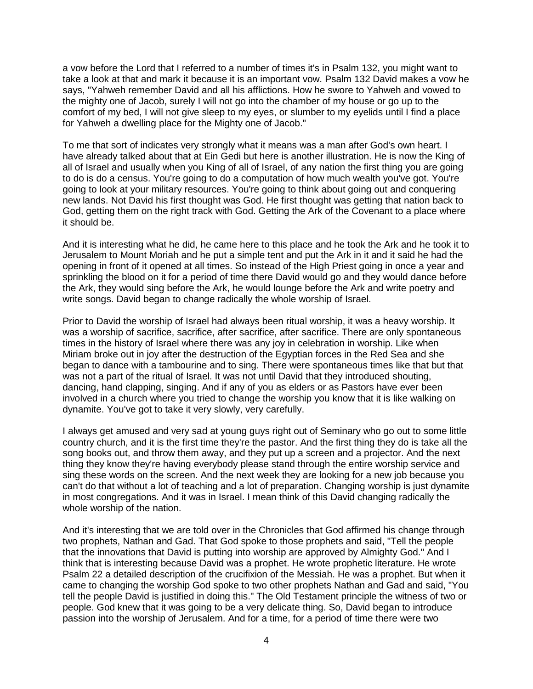a vow before the Lord that I referred to a number of times it's in Psalm 132, you might want to take a look at that and mark it because it is an important vow. Psalm 132 David makes a vow he says, "Yahweh remember David and all his afflictions. How he swore to Yahweh and vowed to the mighty one of Jacob, surely I will not go into the chamber of my house or go up to the comfort of my bed, I will not give sleep to my eyes, or slumber to my eyelids until I find a place for Yahweh a dwelling place for the Mighty one of Jacob."

To me that sort of indicates very strongly what it means was a man after God's own heart. I have already talked about that at Ein Gedi but here is another illustration. He is now the King of all of Israel and usually when you King of all of Israel, of any nation the first thing you are going to do is do a census. You're going to do a computation of how much wealth you've got. You're going to look at your military resources. You're going to think about going out and conquering new lands. Not David his first thought was God. He first thought was getting that nation back to God, getting them on the right track with God. Getting the Ark of the Covenant to a place where it should be.

And it is interesting what he did, he came here to this place and he took the Ark and he took it to Jerusalem to Mount Moriah and he put a simple tent and put the Ark in it and it said he had the opening in front of it opened at all times. So instead of the High Priest going in once a year and sprinkling the blood on it for a period of time there David would go and they would dance before the Ark, they would sing before the Ark, he would lounge before the Ark and write poetry and write songs. David began to change radically the whole worship of Israel.

Prior to David the worship of Israel had always been ritual worship, it was a heavy worship. It was a worship of sacrifice, sacrifice, after sacrifice, after sacrifice. There are only spontaneous times in the history of Israel where there was any joy in celebration in worship. Like when Miriam broke out in joy after the destruction of the Egyptian forces in the Red Sea and she began to dance with a tambourine and to sing. There were spontaneous times like that but that was not a part of the ritual of Israel. It was not until David that they introduced shouting, dancing, hand clapping, singing. And if any of you as elders or as Pastors have ever been involved in a church where you tried to change the worship you know that it is like walking on dynamite. You've got to take it very slowly, very carefully.

I always get amused and very sad at young guys right out of Seminary who go out to some little country church, and it is the first time they're the pastor. And the first thing they do is take all the song books out, and throw them away, and they put up a screen and a projector. And the next thing they know they're having everybody please stand through the entire worship service and sing these words on the screen. And the next week they are looking for a new job because you can't do that without a lot of teaching and a lot of preparation. Changing worship is just dynamite in most congregations. And it was in Israel. I mean think of this David changing radically the whole worship of the nation.

And it's interesting that we are told over in the Chronicles that God affirmed his change through two prophets, Nathan and Gad. That God spoke to those prophets and said, "Tell the people that the innovations that David is putting into worship are approved by Almighty God." And I think that is interesting because David was a prophet. He wrote prophetic literature. He wrote Psalm 22 a detailed description of the crucifixion of the Messiah. He was a prophet. But when it came to changing the worship God spoke to two other prophets Nathan and Gad and said, "You tell the people David is justified in doing this." The Old Testament principle the witness of two or people. God knew that it was going to be a very delicate thing. So, David began to introduce passion into the worship of Jerusalem. And for a time, for a period of time there were two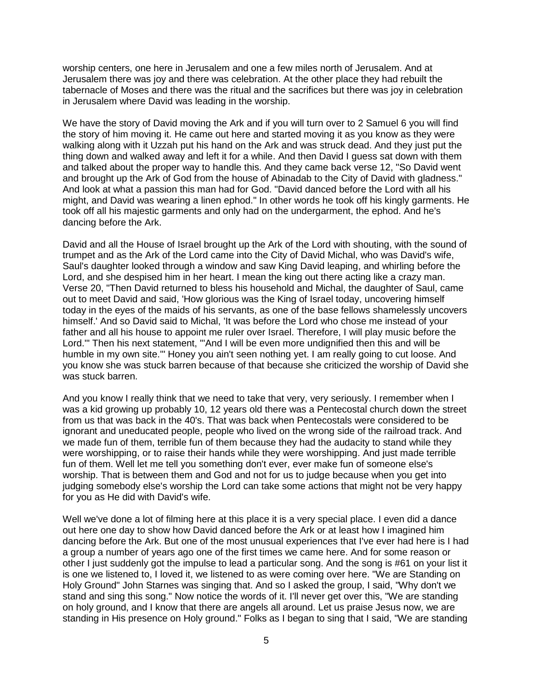worship centers, one here in Jerusalem and one a few miles north of Jerusalem. And at Jerusalem there was joy and there was celebration. At the other place they had rebuilt the tabernacle of Moses and there was the ritual and the sacrifices but there was joy in celebration in Jerusalem where David was leading in the worship.

We have the story of David moving the Ark and if you will turn over to 2 Samuel 6 you will find the story of him moving it. He came out here and started moving it as you know as they were walking along with it Uzzah put his hand on the Ark and was struck dead. And they just put the thing down and walked away and left it for a while. And then David I guess sat down with them and talked about the proper way to handle this. And they came back verse 12, "So David went and brought up the Ark of God from the house of Abinadab to the City of David with gladness." And look at what a passion this man had for God. "David danced before the Lord with all his might, and David was wearing a linen ephod." In other words he took off his kingly garments. He took off all his majestic garments and only had on the undergarment, the ephod. And he's dancing before the Ark.

David and all the House of Israel brought up the Ark of the Lord with shouting, with the sound of trumpet and as the Ark of the Lord came into the City of David Michal, who was David's wife, Saul's daughter looked through a window and saw King David leaping, and whirling before the Lord, and she despised him in her heart. I mean the king out there acting like a crazy man. Verse 20, "Then David returned to bless his household and Michal, the daughter of Saul, came out to meet David and said, 'How glorious was the King of Israel today, uncovering himself today in the eyes of the maids of his servants, as one of the base fellows shamelessly uncovers himself.' And so David said to Michal, 'It was before the Lord who chose me instead of your father and all his house to appoint me ruler over Israel. Therefore, I will play music before the Lord.'" Then his next statement, "'And I will be even more undignified then this and will be humble in my own site.'" Honey you ain't seen nothing yet. I am really going to cut loose. And you know she was stuck barren because of that because she criticized the worship of David she was stuck barren.

And you know I really think that we need to take that very, very seriously. I remember when I was a kid growing up probably 10, 12 years old there was a Pentecostal church down the street from us that was back in the 40's. That was back when Pentecostals were considered to be ignorant and uneducated people, people who lived on the wrong side of the railroad track. And we made fun of them, terrible fun of them because they had the audacity to stand while they were worshipping, or to raise their hands while they were worshipping. And just made terrible fun of them. Well let me tell you something don't ever, ever make fun of someone else's worship. That is between them and God and not for us to judge because when you get into judging somebody else's worship the Lord can take some actions that might not be very happy for you as He did with David's wife.

Well we've done a lot of filming here at this place it is a very special place. I even did a dance out here one day to show how David danced before the Ark or at least how I imagined him dancing before the Ark. But one of the most unusual experiences that I've ever had here is I had a group a number of years ago one of the first times we came here. And for some reason or other I just suddenly got the impulse to lead a particular song. And the song is #61 on your list it is one we listened to, I loved it, we listened to as were coming over here. "We are Standing on Holy Ground" John Starnes was singing that. And so I asked the group, I said, "Why don't we stand and sing this song." Now notice the words of it. I'll never get over this, "We are standing on holy ground, and I know that there are angels all around. Let us praise Jesus now, we are standing in His presence on Holy ground." Folks as I began to sing that I said, "We are standing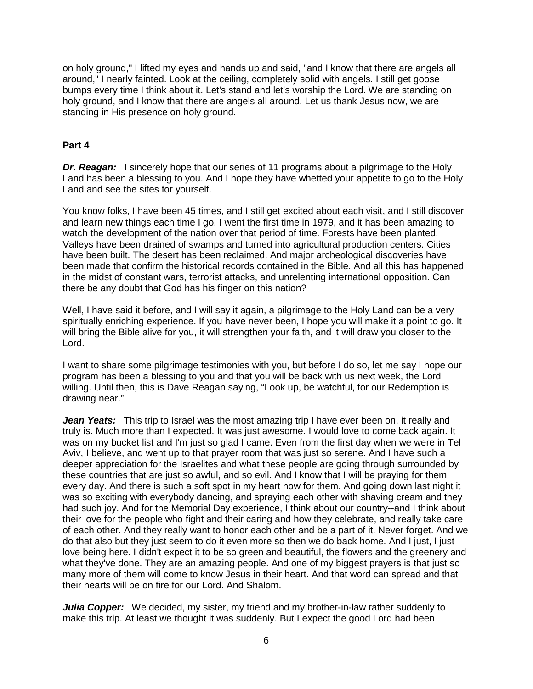on holy ground," I lifted my eyes and hands up and said, "and I know that there are angels all around," I nearly fainted. Look at the ceiling, completely solid with angels. I still get goose bumps every time I think about it. Let's stand and let's worship the Lord. We are standing on holy ground, and I know that there are angels all around. Let us thank Jesus now, we are standing in His presence on holy ground.

# **Part 4**

*Dr. Reagan:* I sincerely hope that our series of 11 programs about a pilgrimage to the Holy Land has been a blessing to you. And I hope they have whetted your appetite to go to the Holy Land and see the sites for yourself.

You know folks, I have been 45 times, and I still get excited about each visit, and I still discover and learn new things each time I go. I went the first time in 1979, and it has been amazing to watch the development of the nation over that period of time. Forests have been planted. Valleys have been drained of swamps and turned into agricultural production centers. Cities have been built. The desert has been reclaimed. And major archeological discoveries have been made that confirm the historical records contained in the Bible. And all this has happened in the midst of constant wars, terrorist attacks, and unrelenting international opposition. Can there be any doubt that God has his finger on this nation?

Well, I have said it before, and I will say it again, a pilgrimage to the Holy Land can be a very spiritually enriching experience. If you have never been, I hope you will make it a point to go. It will bring the Bible alive for you, it will strengthen your faith, and it will draw you closer to the Lord.

I want to share some pilgrimage testimonies with you, but before I do so, let me say I hope our program has been a blessing to you and that you will be back with us next week, the Lord willing. Until then, this is Dave Reagan saying, "Look up, be watchful, for our Redemption is drawing near."

*Jean Yeats:* This trip to Israel was the most amazing trip I have ever been on, it really and truly is. Much more than I expected. It was just awesome. I would love to come back again. It was on my bucket list and I'm just so glad I came. Even from the first day when we were in Tel Aviv, I believe, and went up to that prayer room that was just so serene. And I have such a deeper appreciation for the Israelites and what these people are going through surrounded by these countries that are just so awful, and so evil. And I know that I will be praying for them every day. And there is such a soft spot in my heart now for them. And going down last night it was so exciting with everybody dancing, and spraying each other with shaving cream and they had such joy. And for the Memorial Day experience, I think about our country--and I think about their love for the people who fight and their caring and how they celebrate, and really take care of each other. And they really want to honor each other and be a part of it. Never forget. And we do that also but they just seem to do it even more so then we do back home. And I just, I just love being here. I didn't expect it to be so green and beautiful, the flowers and the greenery and what they've done. They are an amazing people. And one of my biggest prayers is that just so many more of them will come to know Jesus in their heart. And that word can spread and that their hearts will be on fire for our Lord. And Shalom.

*Julia Copper:* We decided, my sister, my friend and my brother-in-law rather suddenly to make this trip. At least we thought it was suddenly. But I expect the good Lord had been